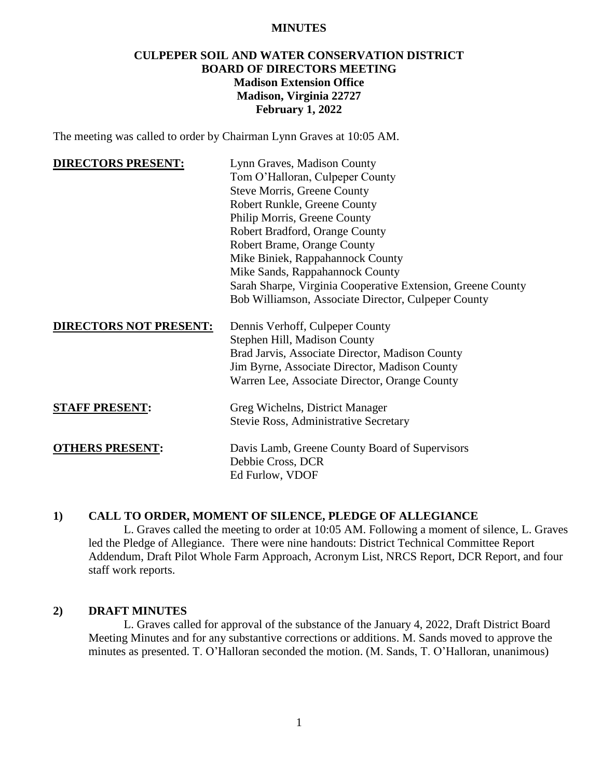#### **MINUTES**

# **CULPEPER SOIL AND WATER CONSERVATION DISTRICT BOARD OF DIRECTORS MEETING Madison Extension Office Madison, Virginia 22727 February 1, 2022**

The meeting was called to order by Chairman Lynn Graves at 10:05 AM.

| <b>DIRECTORS PRESENT:</b> | Lynn Graves, Madison County                                 |
|---------------------------|-------------------------------------------------------------|
|                           | Tom O'Halloran, Culpeper County                             |
|                           | <b>Steve Morris, Greene County</b>                          |
|                           | Robert Runkle, Greene County                                |
|                           | Philip Morris, Greene County                                |
|                           | Robert Bradford, Orange County                              |
|                           | Robert Brame, Orange County                                 |
|                           | Mike Biniek, Rappahannock County                            |
|                           | Mike Sands, Rappahannock County                             |
|                           | Sarah Sharpe, Virginia Cooperative Extension, Greene County |
|                           | Bob Williamson, Associate Director, Culpeper County         |
|                           | Dennis Verhoff, Culpeper County                             |
|                           | Stephen Hill, Madison County                                |
|                           | Brad Jarvis, Associate Director, Madison County             |
|                           | Jim Byrne, Associate Director, Madison County               |
|                           | Warren Lee, Associate Director, Orange County               |
|                           | Greg Wichelns, District Manager                             |
|                           | Stevie Ross, Administrative Secretary                       |
|                           |                                                             |
| <b>OTHERS PRESENT:</b>    | Davis Lamb, Greene County Board of Supervisors              |
|                           | Debbie Cross, DCR                                           |
|                           | Ed Furlow, VDOF                                             |
|                           | <b>DIRECTORS NOT PRESENT:</b><br><b>STAFF PRESENT:</b>      |

### **1) CALL TO ORDER, MOMENT OF SILENCE, PLEDGE OF ALLEGIANCE**

L. Graves called the meeting to order at 10:05 AM. Following a moment of silence, L. Graves led the Pledge of Allegiance. There were nine handouts: District Technical Committee Report Addendum, Draft Pilot Whole Farm Approach, Acronym List, NRCS Report, DCR Report, and four staff work reports.

#### **2) DRAFT MINUTES**

L. Graves called for approval of the substance of the January 4, 2022, Draft District Board Meeting Minutes and for any substantive corrections or additions. M. Sands moved to approve the minutes as presented. T. O'Halloran seconded the motion. (M. Sands, T. O'Halloran, unanimous)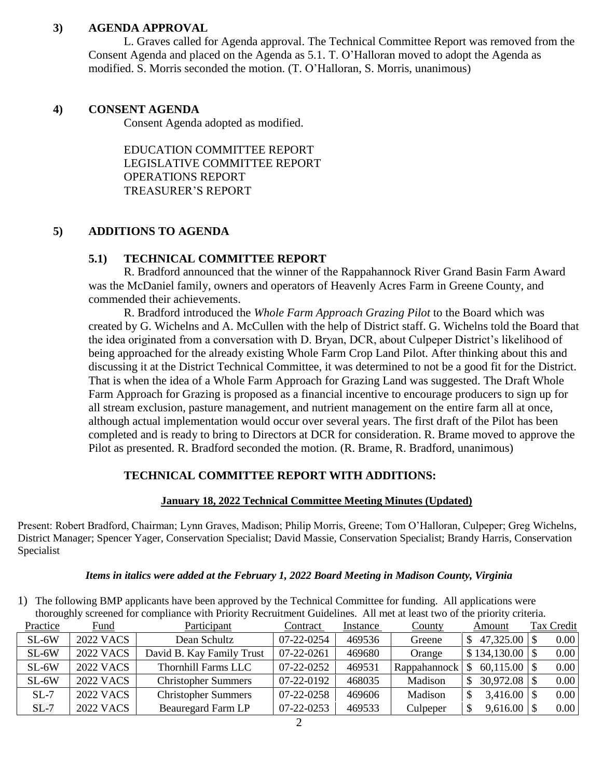# **3) AGENDA APPROVAL**

L. Graves called for Agenda approval. The Technical Committee Report was removed from the Consent Agenda and placed on the Agenda as 5.1. T. O'Halloran moved to adopt the Agenda as modified. S. Morris seconded the motion. (T. O'Halloran, S. Morris, unanimous)

### **4) CONSENT AGENDA**

Consent Agenda adopted as modified.

EDUCATION COMMITTEE REPORT LEGISLATIVE COMMITTEE REPORT OPERATIONS REPORT TREASURER'S REPORT

# **5) ADDITIONS TO AGENDA**

# **5.1) TECHNICAL COMMITTEE REPORT**

R. Bradford announced that the winner of the Rappahannock River Grand Basin Farm Award was the McDaniel family, owners and operators of Heavenly Acres Farm in Greene County, and commended their achievements.

R. Bradford introduced the *Whole Farm Approach Grazing Pilot* to the Board which was created by G. Wichelns and A. McCullen with the help of District staff. G. Wichelns told the Board that the idea originated from a conversation with D. Bryan, DCR, about Culpeper District's likelihood of being approached for the already existing Whole Farm Crop Land Pilot. After thinking about this and discussing it at the District Technical Committee, it was determined to not be a good fit for the District. That is when the idea of a Whole Farm Approach for Grazing Land was suggested. The Draft Whole Farm Approach for Grazing is proposed as a financial incentive to encourage producers to sign up for all stream exclusion, pasture management, and nutrient management on the entire farm all at once, although actual implementation would occur over several years. The first draft of the Pilot has been completed and is ready to bring to Directors at DCR for consideration. R. Brame moved to approve the Pilot as presented. R. Bradford seconded the motion. (R. Brame, R. Bradford, unanimous)

# **TECHNICAL COMMITTEE REPORT WITH ADDITIONS:**

### **January 18, 2022 Technical Committee Meeting Minutes (Updated)**

Present: Robert Bradford, Chairman; Lynn Graves, Madison; Philip Morris, Greene; Tom O'Halloran, Culpeper; Greg Wichelns, District Manager; Spencer Yager, Conservation Specialist; David Massie, Conservation Specialist; Brandy Harris, Conservation Specialist

### *Items in italics were added at the February 1, 2022 Board Meeting in Madison County, Virginia*

1) The following BMP applicants have been approved by the Technical Committee for funding. All applications were thoroughly screened for compliance with Priority Recruitment Guidelines. All met at least two of the priority criteria.

| Practice | Fund             | Participant                | Contract   | Instance | <b>County</b> | Amount            | Tax Credit |  |
|----------|------------------|----------------------------|------------|----------|---------------|-------------------|------------|--|
| $SL-6W$  | <b>2022 VACS</b> | Dean Schultz               | 07-22-0254 | 469536   | Greene        | $47,325.00$ \\$   | 0.00       |  |
| $SL-6W$  | <b>2022 VACS</b> | David B. Kay Family Trust  | 07-22-0261 | 469680   | Orange        | $$134,130.00$ \\$ | 0.00       |  |
| $SL-6W$  | 2022 VACS        | <b>Thornhill Farms LLC</b> | 07-22-0252 | 469531   | Rappahannock  |                   | 0.00       |  |
| $SL-6W$  | 2022 VACS        | <b>Christopher Summers</b> | 07-22-0192 | 468035   | Madison       | $30,972.08$ \ \\$ | 0.00       |  |
| $SL-7$   | 2022 VACS        | <b>Christopher Summers</b> | 07-22-0258 | 469606   | Madison       |                   | 0.00       |  |
| $SL-7$   | <b>2022 VACS</b> | <b>Beauregard Farm LP</b>  | 07-22-0253 | 469533   | Culpeper      | $9,616.00$ \\$    | 0.00       |  |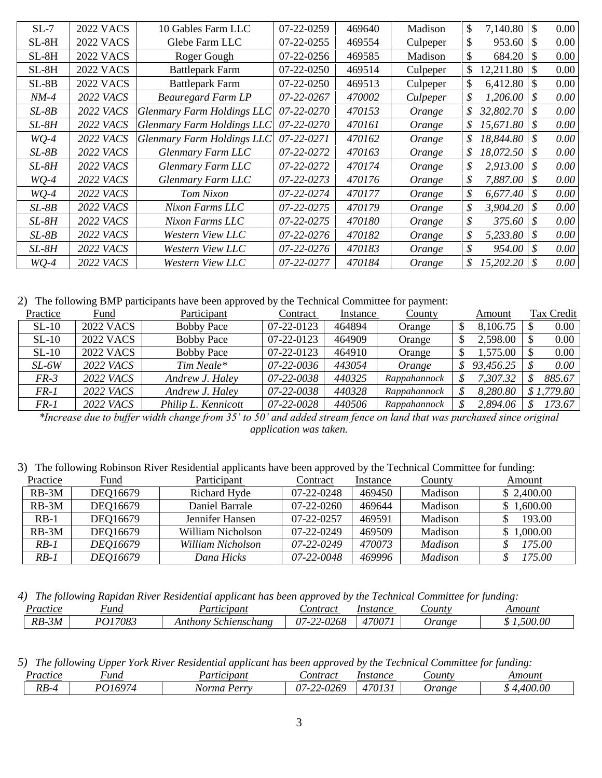| $SL-7$  | 2022 VACS        | 10 Gables Farm LLC         | 07-22-0259 | 469640 | Madison  | \$<br>7,140.80  | <sup>S</sup> | $0.00\,$ |
|---------|------------------|----------------------------|------------|--------|----------|-----------------|--------------|----------|
| $SL-8H$ | <b>2022 VACS</b> | Glebe Farm LLC             | 07-22-0255 | 469554 | Culpeper | \$<br>953.60    | \$.          | 0.00     |
| $SL-8H$ | <b>2022 VACS</b> | Roger Gough                | 07-22-0256 | 469585 | Madison  | \$<br>684.20    |              | $0.00\,$ |
| $SL-8H$ | <b>2022 VACS</b> | <b>Battlepark Farm</b>     | 07-22-0250 | 469514 | Culpeper | \$<br>12,211.80 |              | 0.00     |
| $SL-8B$ | <b>2022 VACS</b> | <b>Battlepark Farm</b>     | 07-22-0250 | 469513 | Culpeper | \$<br>6,412.80  |              | 0.00     |
| $NM-4$  | <b>2022 VACS</b> | <b>Beauregard Farm LP</b>  | 07-22-0267 | 470002 | Culpeper | \$<br>1,206.00  |              | $0.00\,$ |
| SL-8B   | <b>2022 VACS</b> | Glenmary Farm Holdings LLC | 07-22-0270 | 470153 | Orange   | \$<br>32,802.70 | \$           | $0.00\,$ |
| $SL-8H$ | <b>2022 VACS</b> | Glenmary Farm Holdings LLC | 07-22-0270 | 470161 | Orange   | \$<br>15,671.80 | S            | $0.00\,$ |
| $WQ-4$  | <b>2022 VACS</b> | Glenmary Farm Holdings LLC | 07-22-0271 | 470162 | Orange   | \$<br>18,844.80 |              | $0.00\,$ |
| $SL-8B$ | <b>2022 VACS</b> | Glenmary Farm LLC          | 07-22-0272 | 470163 | Orange   | \$<br>18,072.50 |              | $0.00\,$ |
| SL-8H   | <b>2022 VACS</b> | Glenmary Farm LLC          | 07-22-0272 | 470174 | Orange   | \$<br>2,913.00  |              | $0.00\,$ |
| $WQ-4$  | <b>2022 VACS</b> | Glenmary Farm LLC          | 07-22-0273 | 470176 | Orange   | \$<br>7,887.00  | S            | $0.00\,$ |
| $WO-4$  | <b>2022 VACS</b> | Tom Nixon                  | 07-22-0274 | 470177 | Orange   | \$<br>6,677.40  | S            | $0.00\,$ |
| $SL-8B$ | <b>2022 VACS</b> | Nixon Farms LLC            | 07-22-0275 | 470179 | Orange   | \$<br>3,904.20  | S            | $0.00\,$ |
| $SL-8H$ | <b>2022 VACS</b> | Nixon Farms LLC            | 07-22-0275 | 470180 | Orange   | \$<br>375.60    | S            | $0.00\,$ |
| $SL-8B$ | <b>2022 VACS</b> | Western View LLC           | 07-22-0276 | 470182 | Orange   | \$<br>5,233.80  | \$           | $0.00\,$ |
| $SL-8H$ | <b>2022 VACS</b> | Western View LLC           | 07-22-0276 | 470183 | Orange   | \$<br>954.00    |              | $0.00\,$ |
| $WQ-4$  | <b>2022 VACS</b> | Western View LLC           | 07-22-0277 | 470184 | Orange   | \$<br>15,202.20 |              | $0.00\,$ |

2) The following BMP participants have been approved by the Technical Committee for payment:

| Practice | Fund             | Participant         | Contract   | Instance | County       | Amount    |              | Tax Credit |
|----------|------------------|---------------------|------------|----------|--------------|-----------|--------------|------------|
| $SL-10$  | <b>2022 VACS</b> | <b>Bobby Pace</b>   | 07-22-0123 | 464894   | Orange       | 8,106.75  |              | 0.00       |
| $SL-10$  | <b>2022 VACS</b> | <b>Bobby Pace</b>   | 07-22-0123 | 464909   | Orange       | 2,598.00  | <sup>S</sup> | 0.00       |
| $SL-10$  | <b>2022 VACS</b> | <b>Bobby Pace</b>   | 07-22-0123 | 464910   | Orange       | 1,575.00  |              | 0.00       |
| $SL-6W$  | 2022 VACS        | Tim Neale*          | 07-22-0036 | 443054   | Orange       | 93,456.25 |              | 0.00       |
| FR-3     | 2022 VACS        | Andrew J. Haley     | 07-22-0038 | 440325   | Rappahannock | 7,307.32  | S            | 885.67     |
| FR-1     | 2022 VACS        | Andrew J. Haley     | 07-22-0038 | 440328   | Rappahannock | 8,280.80  |              | \$1,779.80 |
| FR-1     | 2022 VACS        | Philip L. Kennicott | 07-22-0028 | 440506   | Rappahannock | 2,894.06  |              | 173.67     |

*\*Increase due to buffer width change from 35' to 50' and added stream fence on land that was purchased since original application was taken.*

3) The following Robinson River Residential applicants have been approved by the Technical Committee for funding:

| Practice | Fund     | Participant       | Contract         | Instance | <u>County</u>  | Amount     |
|----------|----------|-------------------|------------------|----------|----------------|------------|
| $RB-3M$  | DEQ16679 | Richard Hyde      | $07 - 22 - 0248$ | 469450   | Madison        | \$2,400.00 |
| $RB-3M$  | DEQ16679 | Daniel Barrale    | 07-22-0260       | 469644   | Madison        | \$1,600.00 |
| $RB-1$   | DEQ16679 | Jennifer Hansen   | 07-22-0257       | 469591   | Madison        | 193.00     |
| $RB-3M$  | DEQ16679 | William Nicholson | $07-22-0249$     | 469509   | Madison        | \$1,000.00 |
| $RB-1$   | DEO16679 | William Nicholson | 07-22-0249       | 470073   | Madison        | 175.00     |
| $RB-1$   | DEQ16679 | Dana Hicks        | 07-22-0048       | 469996   | <i>Madison</i> | 175.00     |

| 4) The following Rapidan River Residential applicant has been approved by the Technical Committee for funding: |  |  |  |  |  |  |
|----------------------------------------------------------------------------------------------------------------|--|--|--|--|--|--|
|----------------------------------------------------------------------------------------------------------------|--|--|--|--|--|--|

| Practice       | ∗und    | 'artıcıpant            | Contract                                    | Instance    | $\mathcal{L}$ ount $\nu$ | Amount  |
|----------------|---------|------------------------|---------------------------------------------|-------------|--------------------------|---------|
| $-3M$<br>$RB-$ | PO17083 | Schienschang<br>Anthon | 020<br>$07 - 2$<br>$\sim$<br>∕ZOŏ<br>$-11/$ | 17007.<br>" | <i><b>Jrange</b></i>     | .500.00 |

|  |  | 5) The following Upper York River Residential applicant has been approved by the Technical Committee for funding: |  |  |  |  |  |
|--|--|-------------------------------------------------------------------------------------------------------------------|--|--|--|--|--|
|--|--|-------------------------------------------------------------------------------------------------------------------|--|--|--|--|--|

| Practice | una                                  | <sup>9</sup> artıcıpant | Lontract                                                                  | Instance            | $\mathcal{L}$ ount $\mathcal{V}$ | Amount |
|----------|--------------------------------------|-------------------------|---------------------------------------------------------------------------|---------------------|----------------------------------|--------|
| $RB-4$   | PO 1607.<br>$\overline{\phantom{a}}$ | Perrv<br>Norma          | 0.20<br>^~<br>265<br>$-1$<br>$J/-$<br>$\overline{\phantom{0}}$<br>$\cdot$ | $-47012$<br>$\cdot$ | Jrange                           | 400.00 |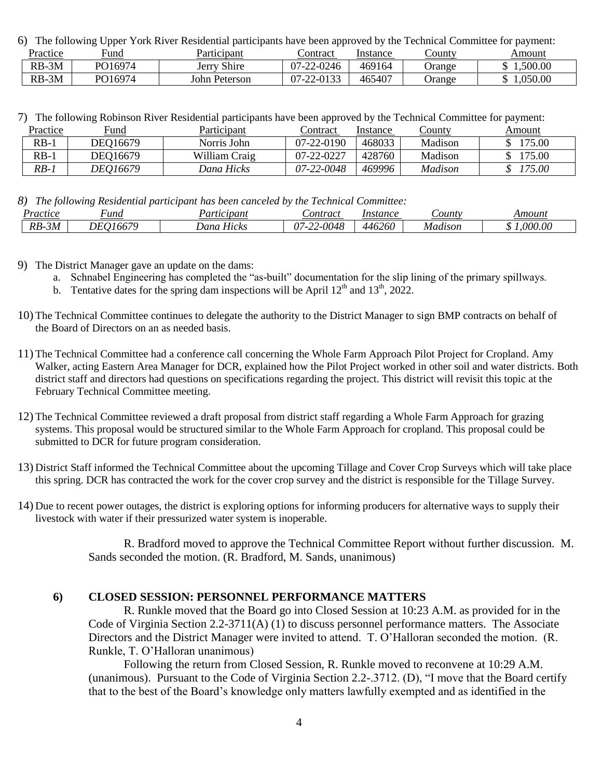6) The following Upper York River Residential participants have been approved by the Technical Committee for payment:

| Practice | ∺una    | Participant    | ∠ontract             | Instance | _ounty | Amount  |
|----------|---------|----------------|----------------------|----------|--------|---------|
| RB-3M    | PO16974 | Shire<br>Jerry | 07-22-0246           | 469164   | Jrange | 500.00  |
| $RB-3M$  | PO16974 | John Peterson  | $-22 - 0133$<br>07-2 | 465407   | Jrange | .050.00 |

| 7) The following Robinson River Residential participants have been approved by the Technical Committee for payment: |  |  |  |
|---------------------------------------------------------------------------------------------------------------------|--|--|--|
|                                                                                                                     |  |  |  |

| Practice | Fund     | Participant   | ∟'ontract  | Instance | County  | Amount |
|----------|----------|---------------|------------|----------|---------|--------|
| $RB-1$   | DEO16679 | Norris John   | 07-22-0190 | 468033   | Madison | 175.00 |
| $RB-$    | DEO16679 | William Craig | 07-22-0227 | 428760   | Madison | 175.00 |
| $RB-1$   | DE016679 | Dana Hicks    | 07-22-0048 | 469996   | Madison | 175.00 |

*8) The following Residential participant has been canceled by the Technical Committee:*

| Practice              | und        | cipant                            | Sontract                       | Instance | $\mathcal{L}$ ount | Amount  |
|-----------------------|------------|-----------------------------------|--------------------------------|----------|--------------------|---------|
| $\overline{RB}$<br>5M | WE<br>'66. | $\mathbf{v}$ .<br>. Janc<br>Hıcks | .0048<br>$\sim$<br>07-<br>,,,, | 446260   | Madıson            | .000.00 |

- 9) The District Manager gave an update on the dams:
	- a. Schnabel Engineering has completed the "as-built" documentation for the slip lining of the primary spillways.
	- b. Tentative dates for the spring dam inspections will be April  $12<sup>th</sup>$  and  $13<sup>th</sup>$ , 2022.
- 10) The Technical Committee continues to delegate the authority to the District Manager to sign BMP contracts on behalf of the Board of Directors on an as needed basis.
- 11) The Technical Committee had a conference call concerning the Whole Farm Approach Pilot Project for Cropland. Amy Walker, acting Eastern Area Manager for DCR, explained how the Pilot Project worked in other soil and water districts. Both district staff and directors had questions on specifications regarding the project. This district will revisit this topic at the February Technical Committee meeting.
- 12) The Technical Committee reviewed a draft proposal from district staff regarding a Whole Farm Approach for grazing systems. This proposal would be structured similar to the Whole Farm Approach for cropland. This proposal could be submitted to DCR for future program consideration.
- 13) District Staff informed the Technical Committee about the upcoming Tillage and Cover Crop Surveys which will take place this spring. DCR has contracted the work for the cover crop survey and the district is responsible for the Tillage Survey.
- 14) Due to recent power outages, the district is exploring options for informing producers for alternative ways to supply their livestock with water if their pressurized water system is inoperable.

R. Bradford moved to approve the Technical Committee Report without further discussion. M. Sands seconded the motion. (R. Bradford, M. Sands, unanimous)

#### **6) CLOSED SESSION: PERSONNEL PERFORMANCE MATTERS**

R. Runkle moved that the Board go into Closed Session at 10:23 A.M. as provided for in the Code of Virginia Section 2.2-3711(A) (1) to discuss personnel performance matters. The Associate Directors and the District Manager were invited to attend. T. O'Halloran seconded the motion. (R. Runkle, T. O'Halloran unanimous)

Following the return from Closed Session, R. Runkle moved to reconvene at 10:29 A.M. (unanimous). Pursuant to the Code of Virginia Section 2.2-.3712. (D), "I move that the Board certify that to the best of the Board's knowledge only matters lawfully exempted and as identified in the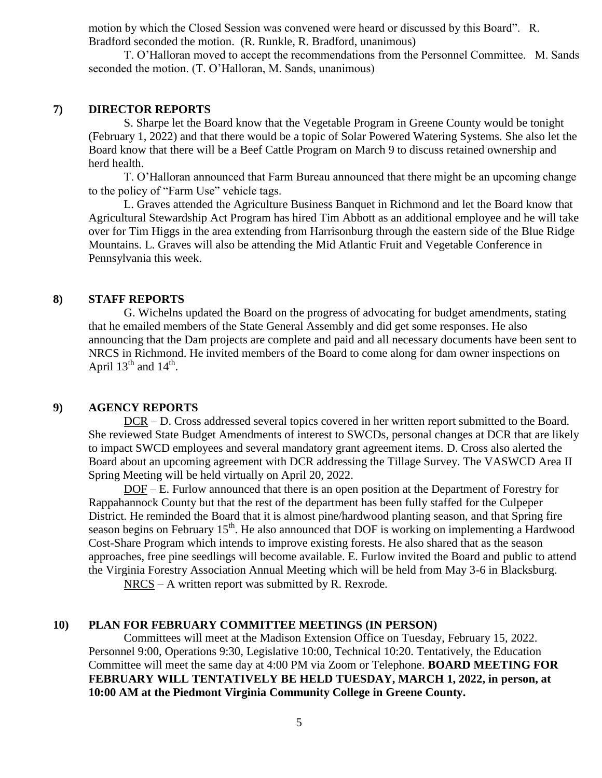motion by which the Closed Session was convened were heard or discussed by this Board". R. Bradford seconded the motion. (R. Runkle, R. Bradford, unanimous)

T. O'Halloran moved to accept the recommendations from the Personnel Committee. M. Sands seconded the motion. (T. O'Halloran, M. Sands, unanimous)

### **7) DIRECTOR REPORTS**

S. Sharpe let the Board know that the Vegetable Program in Greene County would be tonight (February 1, 2022) and that there would be a topic of Solar Powered Watering Systems. She also let the Board know that there will be a Beef Cattle Program on March 9 to discuss retained ownership and herd health.

T. O'Halloran announced that Farm Bureau announced that there might be an upcoming change to the policy of "Farm Use" vehicle tags.

L. Graves attended the Agriculture Business Banquet in Richmond and let the Board know that Agricultural Stewardship Act Program has hired Tim Abbott as an additional employee and he will take over for Tim Higgs in the area extending from Harrisonburg through the eastern side of the Blue Ridge Mountains. L. Graves will also be attending the Mid Atlantic Fruit and Vegetable Conference in Pennsylvania this week.

### **8) STAFF REPORTS**

G. Wichelns updated the Board on the progress of advocating for budget amendments, stating that he emailed members of the State General Assembly and did get some responses. He also announcing that the Dam projects are complete and paid and all necessary documents have been sent to NRCS in Richmond. He invited members of the Board to come along for dam owner inspections on April  $13^{th}$  and  $14^{th}$ .

#### **9) AGENCY REPORTS**

DCR – D. Cross addressed several topics covered in her written report submitted to the Board. She reviewed State Budget Amendments of interest to SWCDs, personal changes at DCR that are likely to impact SWCD employees and several mandatory grant agreement items. D. Cross also alerted the Board about an upcoming agreement with DCR addressing the Tillage Survey. The VASWCD Area II Spring Meeting will be held virtually on April 20, 2022.

DOF – E. Furlow announced that there is an open position at the Department of Forestry for Rappahannock County but that the rest of the department has been fully staffed for the Culpeper District. He reminded the Board that it is almost pine/hardwood planting season, and that Spring fire season begins on February  $15<sup>th</sup>$ . He also announced that DOF is working on implementing a Hardwood Cost-Share Program which intends to improve existing forests. He also shared that as the season approaches, free pine seedlings will become available. E. Furlow invited the Board and public to attend the Virginia Forestry Association Annual Meeting which will be held from May 3-6 in Blacksburg.

NRCS – A written report was submitted by R. Rexrode.

#### **10) PLAN FOR FEBRUARY COMMITTEE MEETINGS (IN PERSON)**

Committees will meet at the Madison Extension Office on Tuesday, February 15, 2022. Personnel 9:00, Operations 9:30, Legislative 10:00, Technical 10:20. Tentatively, the Education Committee will meet the same day at 4:00 PM via Zoom or Telephone. **BOARD MEETING FOR FEBRUARY WILL TENTATIVELY BE HELD TUESDAY, MARCH 1, 2022, in person, at 10:00 AM at the Piedmont Virginia Community College in Greene County.**